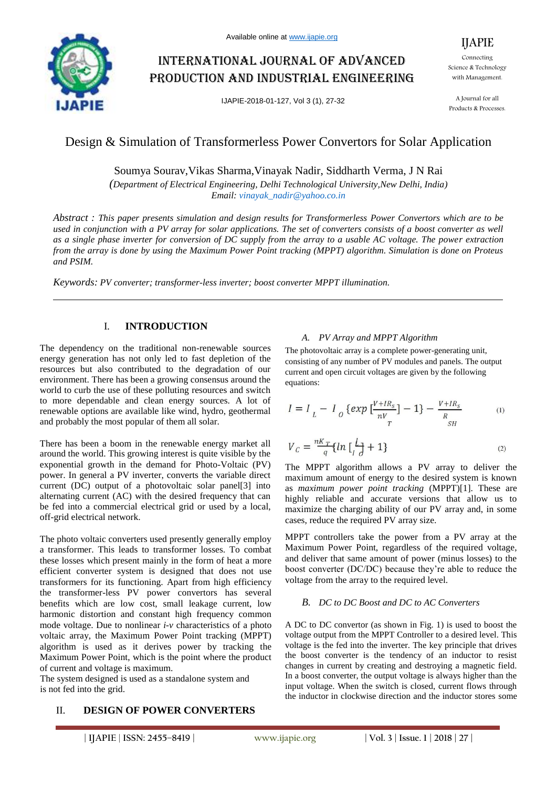

# International journal of advanced production and industrial engineering

IJAPIE-2018-01-127, Vol 3 (1), 27-32

Connecting Science & Technology with Management.

IJAPIE

A Journal for all Products & Processes.

## Design & Simulation of Transformerless Power Convertors for Solar Application

Soumya Sourav,Vikas Sharma,Vinayak Nadir, Siddharth Verma, J N Rai

*(Department of Electrical Engineering, Delhi Technological University,New Delhi, India) Email: vinayak\_nadir@yahoo.co.in*

*Abstract : This paper presents simulation and design results for Transformerless Power Convertors which are to be used in conjunction with a PV array for solar applications. The set of converters consists of a boost converter as well as a single phase inverter for conversion of DC supply from the array to a usable AC voltage. The power extraction from the array is done by using the Maximum Power Point tracking (MPPT) algorithm. Simulation is done on Proteus and PSIM.*

*Keywords: PV converter; transformer-less inverter; boost converter MPPT illumination.*

## I. **INTRODUCTION**

The dependency on the traditional non-renewable sources energy generation has not only led to fast depletion of the resources but also contributed to the degradation of our environment. There has been a growing consensus around the world to curb the use of these polluting resources and switch to more dependable and clean energy sources. A lot of renewable options are available like wind, hydro, geothermal and probably the most popular of them all solar.

There has been a boom in the renewable energy market all around the world. This growing interest is quite visible by the exponential growth in the demand for Photo-Voltaic (PV) power. In general a PV inverter, converts the variable direct current (DC) output of a photovoltaic solar panel[3] into alternating current (AC) with the desired frequency that can be fed into a commercial electrical grid or used by a local, off-grid electrical network.

The photo voltaic converters used presently generally employ a transformer. This leads to transformer losses. To combat these losses which present mainly in the form of heat a more efficient converter system is designed that does not use transformers for its functioning. Apart from high efficiency the transformer-less PV power convertors has several benefits which are low cost, small leakage current, low harmonic distortion and constant high frequency common mode voltage. Due to nonlinear *i-v* characteristics of a photo voltaic array, the Maximum Power Point tracking (MPPT) algorithm is used as it derives power by tracking the Maximum Power Point, which is the point where the product of current and voltage is maximum.

The system designed is used as a standalone system and is not fed into the grid.

## II. **DESIGN OF POWER CONVERTERS**

### *A. PV Array and MPPT Algorithm*

The photovoltaic array is a complete power-generating unit, consisting of any number of PV modules and panels. The output current and open circuit voltages are given by the following equations:

$$
I = I_L - I_0 \{ exp \left[ \frac{V + IR_s}{nV_T} \right] - 1 \} - \frac{V + IR_s}{R_H}
$$
 (1)

$$
V_c = \frac{nK_T}{q} \{ ln \left[ \frac{L}{d} + 1 \right] \tag{2}
$$

The MPPT algorithm allows a PV array to deliver the maximum amount of energy to the desired system is known as *maximum power point tracking* (MPPT)[1]. These are highly reliable and accurate versions that allow us to maximize the charging ability of our PV array and, in some cases, reduce the required PV array size.

MPPT controllers take the power from a PV array at the Maximum Power Point, regardless of the required voltage, and deliver that same amount of power (minus losses) to the boost converter (DC/DC) because they're able to reduce the voltage from the array to the required level.

### *B. DC to DC Boost and DC to AC Converters*

A DC to DC convertor (as shown in Fig. 1) is used to boost the voltage output from the MPPT Controller to a desired level. This voltage is the fed into the inverter. The key principle that drives the boost converter is the tendency of an inductor to resist changes in current by creating and destroying a magnetic field. In a boost converter, the output voltage is always higher than the input voltage. When the switch is closed, current flows through the inductor in clockwise direction and the inductor stores some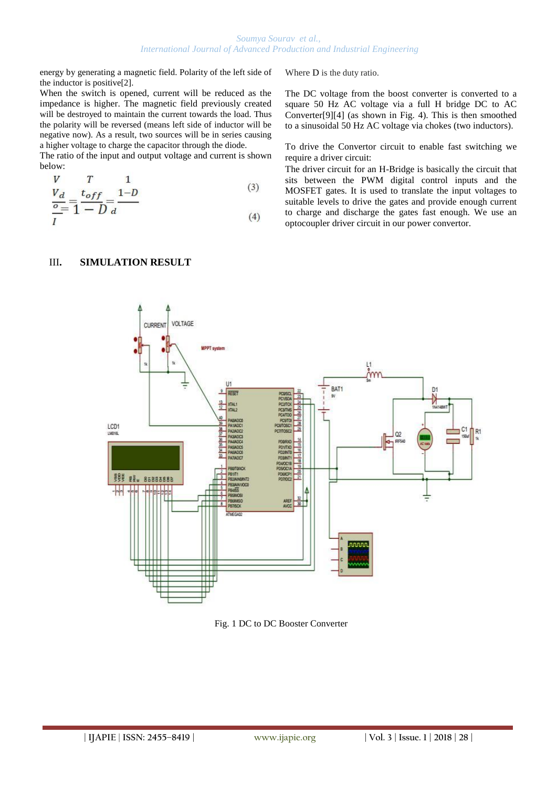energy by generating a magnetic field. Polarity of the left side of the inductor is positive[2].

When the switch is opened, current will be reduced as the impedance is higher. The magnetic field previously created will be destroyed to maintain the current towards the load. Thus the polarity will be reversed (means left side of inductor will be negative now). As a result, two sources will be in series causing a higher voltage to charge the capacitor through the diode.

The ratio of the input and output voltage and current is shown below:

$$
\frac{V}{\frac{O}{I}} = \frac{t_{off}}{1 - D} = \frac{1 - D}{d}
$$
\n(3)

Where D is the duty ratio.

The DC voltage from the boost converter is converted to a square 50 Hz AC voltage via a full H bridge DC to AC Converter[9][4] (as shown in Fig. 4). This is then smoothed to a sinusoidal 50 Hz AC voltage via chokes (two inductors).

To drive the Convertor circuit to enable fast switching we require a driver circuit:

The driver circuit for an H-Bridge is basically the circuit that sits between the PWM digital control inputs and the MOSFET gates. It is used to translate the input voltages to suitable levels to drive the gates and provide enough current to charge and discharge the gates fast enough. We use an optocoupler driver circuit in our power convertor.

## III**. SIMULATION RESULT**



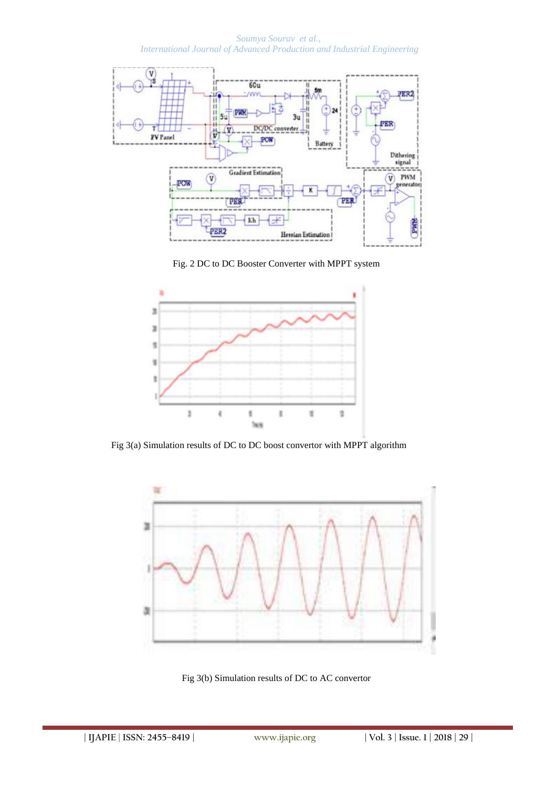*Soumya Sourav et al., International Journal of Advanced Production and Industrial Engineering*



Fig. 2 DC to DC Booster Converter with MPPT system



Fig 3(a) Simulation results of DC to DC boost convertor with MPPT algorithm



Fig 3(b) Simulation results of DC to AC convertor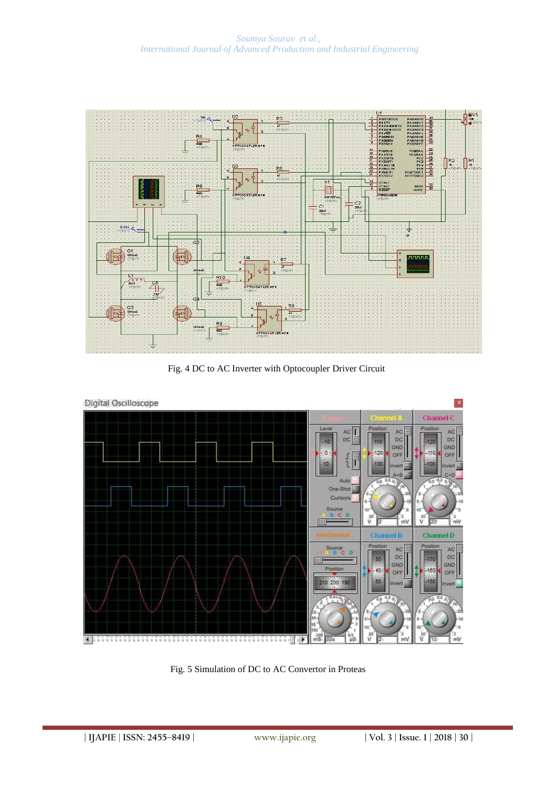

Fig. 4 DC to AC Inverter with Optocoupler Driver Circuit



Fig. 5 Simulation of DC to AC Convertor in Proteas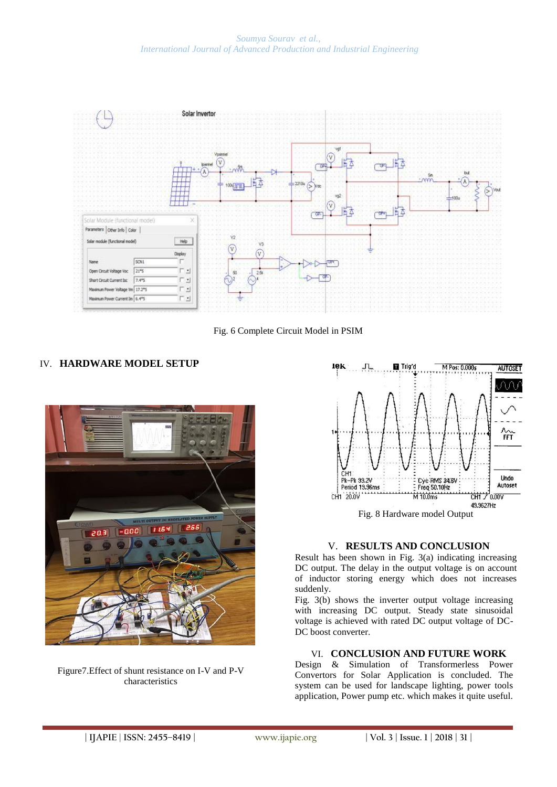*Soumya Sourav et al., International Journal of Advanced Production and Industrial Engineering*



Fig. 6 Complete Circuit Model in PSIM

## IV. **HARDWARE MODEL SETUP**



Figure7.Effect of shunt resistance on I-V and P-V characteristics



### V. **RESULTS AND CONCLUSION**

Result has been shown in Fig. 3(a) indicating increasing DC output. The delay in the output voltage is on account of inductor storing energy which does not increases suddenly.

Fig. 3(b) shows the inverter output voltage increasing with increasing DC output. Steady state sinusoidal voltage is achieved with rated DC output voltage of DC-DC boost converter.

#### VI. **CONCLUSION AND FUTURE WORK**

Design & Simulation of Transformerless Power Convertors for Solar Application is concluded. The system can be used for landscape lighting, power tools application, Power pump etc. which makes it quite useful.